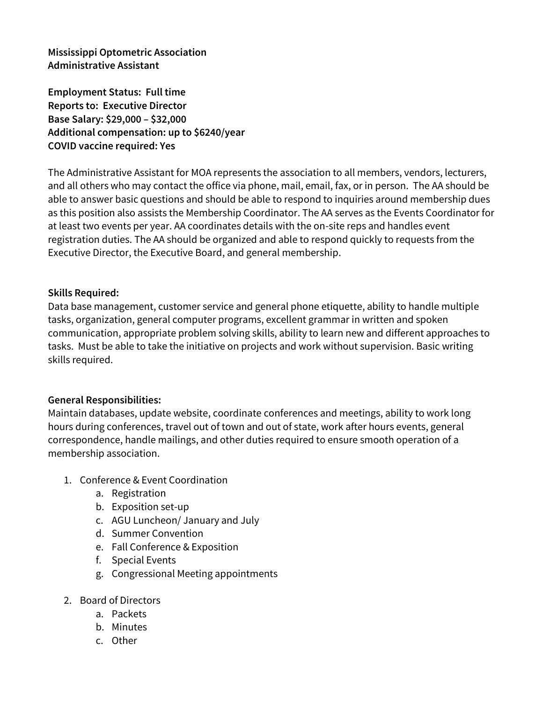**Mississippi Optometric Association Administrative Assistant**

**Employment Status: Full time Reports to: Executive Director Base Salary: \$29,000 – \$32,000 Additional compensation: up to \$6240/year COVID vaccine required: Yes**

The Administrative Assistant for MOA represents the association to all members, vendors, lecturers, and all others who may contact the office via phone, mail, email, fax, or in person. The AA should be able to answer basic questions and should be able to respond to inquiries around membership dues as this position also assists the Membership Coordinator. The AA serves as the Events Coordinator for at least two events per year. AA coordinates details with the on-site reps and handles event registration duties. The AA should be organized and able to respond quickly to requests from the Executive Director, the Executive Board, and general membership.

## **Skills Required:**

Data base management, customer service and general phone etiquette, ability to handle multiple tasks, organization, general computer programs, excellent grammar in written and spoken communication, appropriate problem solving skills, ability to learn new and different approaches to tasks. Must be able to take the initiative on projects and work without supervision. Basic writing skills required.

## **General Responsibilities:**

Maintain databases, update website, coordinate conferences and meetings, ability to work long hours during conferences, travel out of town and out of state, work after hours events, general correspondence, handle mailings, and other duties required to ensure smooth operation of a membership association.

- 1. Conference & Event Coordination
	- a. Registration
	- b. Exposition set-up
	- c. AGU Luncheon/ January and July
	- d. Summer Convention
	- e. Fall Conference & Exposition
	- f. Special Events
	- g. Congressional Meeting appointments
- 2. Board of Directors
	- a. Packets
	- b. Minutes
	- c. Other